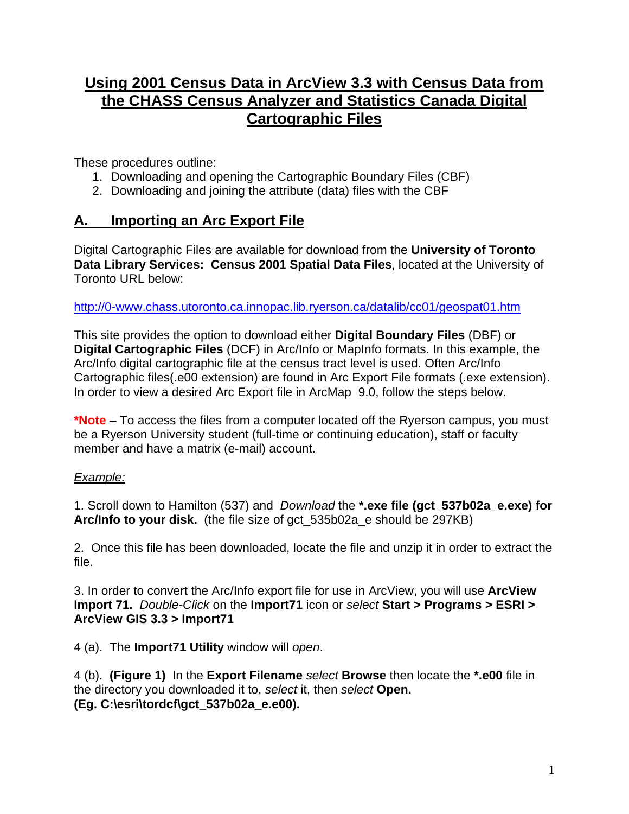## **Using 2001 Census Data in ArcView 3.3 with Census Data from the CHASS Census Analyzer and Statistics Canada Digital Cartographic Files**

These procedures outline:

- 1. Downloading and opening the Cartographic Boundary Files (CBF)
- 2. Downloading and joining the attribute (data) files with the CBF

### **A. Importing an Arc Export File**

Digital Cartographic Files are available for download from the **University of Toronto Data Library Services: Census 2001 Spatial Data Files**, located at the University of Toronto URL below:

<http://0-www.chass.utoronto.ca.innopac.lib.ryerson.ca/datalib/cc01/geospat01.htm>

This site provides the option to download either **Digital Boundary Files** (DBF) or **Digital Cartographic Files** (DCF) in Arc/Info or MapInfo formats. In this example, the Arc/Info digital cartographic file at the census tract level is used. Often Arc/Info Cartographic files(.e00 extension) are found in Arc Export File formats (.exe extension). In order to view a desired Arc Export file in ArcMap 9.0, follow the steps below.

**\*Note** – To access the files from a computer located off the Ryerson campus, you must be a Ryerson University student (full-time or continuing education), staff or faculty member and have a matrix (e-mail) account.

#### *Example:*

1. Scroll down to Hamilton (537) and *Download* the **\*.exe file (gct\_537b02a\_e.exe) for Arc/Info to your disk.** (the file size of gct\_535b02a\_e should be 297KB)

2. Once this file has been downloaded, locate the file and unzip it in order to extract the file.

3. In order to convert the Arc/Info export file for use in ArcView, you will use **ArcView Import 71.** *Double-Click* on the **Import71** icon or *select* **Start > Programs > ESRI > ArcView GIS 3.3 > Import71** 

4 (a). The **Import71 Utility** window will *open*.

4 (b). **(Figure 1)** In the **Export Filename** *select* **Browse** then locate the **\*.e00** file in the directory you downloaded it to, *select* it, then *select* **Open. (Eg. C:\esri\tordcf\gct\_537b02a\_e.e00).**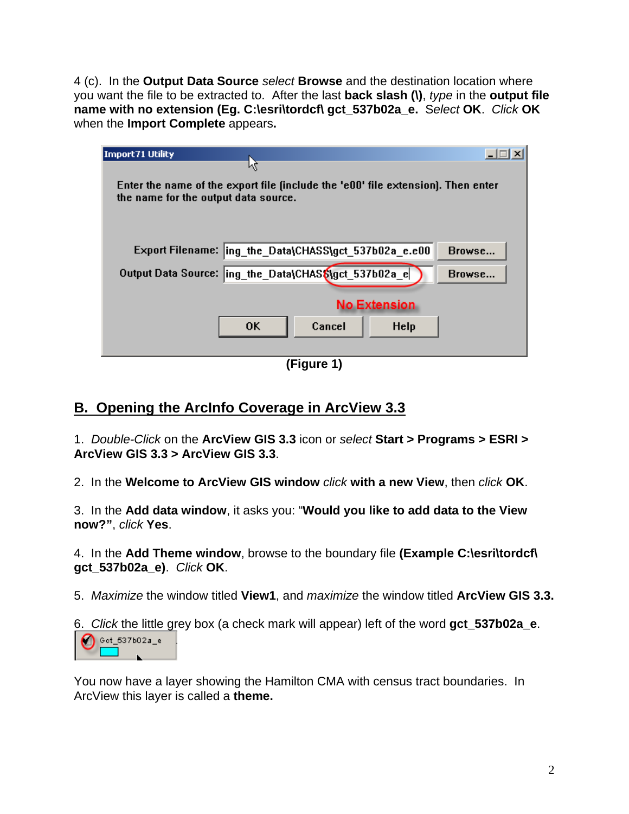4 (c). In the **Output Data Source** *select* **Browse** and the destination location where you want the file to be extracted to. After the last **back slash (\)**, *type* in the **output file name with no extension (Eg. C:\esri\tordcf\ gct\_537b02a\_e.** S*elect* **OK**. *Click* **OK**  when the **Import Complete** appears**.**

| Import71 Utility<br>Μ                                                                                                    |        |
|--------------------------------------------------------------------------------------------------------------------------|--------|
| Enter the name of the export file finclude the 'e00' file extension). Then enter<br>the name for the output data source. |        |
| Export Filename: ing the Data\CHASS\gct 537b02a e.e00                                                                    | Browse |
| Output Data Source:  ing_the_Data\CHAS\$\gct_537b02a_e                                                                   | Browse |
| <b>No Extension</b>                                                                                                      |        |
| <b>OK</b><br>Cancel<br><b>Help</b>                                                                                       |        |
|                                                                                                                          |        |

**(Figure 1)** 

## **B. Opening the ArcInfo Coverage in ArcView 3.3**

1. *Double-Click* on the **ArcView GIS 3.3** icon or *select* **Start > Programs > ESRI > ArcView GIS 3.3 > ArcView GIS 3.3**.

2. In the **Welcome to ArcView GIS window** *click* **with a new View**, then *click* **OK**.

3. In the **Add data window**, it asks you: "**Would you like to add data to the View now?"**, *click* **Yes**.

4. In the **Add Theme window**, browse to the boundary file **(Example C:\esri\tordcf\ gct\_537b02a\_e)**. *Click* **OK**.

5. *Maximize* the window titled **View1**, and *maximize* the window titled **ArcView GIS 3.3.**

6. *Click* the little grey box (a check mark will appear) left of the word **gct\_537b02a\_e**.  $\bigcirc$   $\circ$  of 537602a\_e

You now have a layer showing the Hamilton CMA with census tract boundaries. In ArcView this layer is called a **theme.**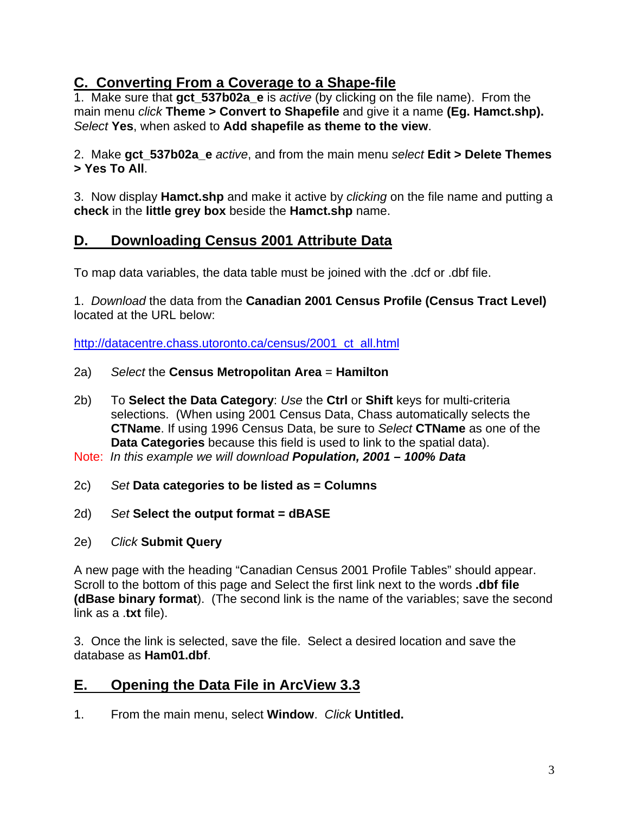### **C. Converting From a Coverage to a Shape-file**

1. Make sure that **gct\_537b02a\_e** is *active* (by clicking on the file name). From the main menu *click* **Theme > Convert to Shapefile** and give it a name **(Eg. Hamct.shp).**  *Select* **Yes**, when asked to **Add shapefile as theme to the view**.

2. Make **gct\_537b02a\_e** *active*, and from the main menu *select* **Edit > Delete Themes > Yes To All**.

3. Now display **Hamct.shp** and make it active by *clicking* on the file name and putting a **check** in the **little grey box** beside the **Hamct.shp** name.

### **D. Downloading Census 2001 Attribute Data**

To map data variables, the data table must be joined with the .dcf or .dbf file.

1. *Download* the data from the **Canadian 2001 Census Profile (Census Tract Level)** located at the URL below:

http://datacentre.chass.utoronto.ca/census/2001\_ct\_all.html

- 2a) *Select* the **Census Metropolitan Area** = **Hamilton**
- 2b) To **Select the Data Category**: *Use* the **Ctrl** or **Shift** keys for multi-criteria selections. (When using 2001 Census Data, Chass automatically selects the **CTName**. If using 1996 Census Data, be sure to *Select* **CTName** as one of the **Data Categories** because this field is used to link to the spatial data).

Note: *In this example we will download Population, 2001 – 100% Data*

- 2c) *Set* **Data categories to be listed as = Columns**
- 2d) *Set* **Select the output format = dBASE**
- 2e) *Click* **Submit Query**

A new page with the heading "Canadian Census 2001 Profile Tables" should appear. Scroll to the bottom of this page and Select the first link next to the words **.dbf file (dBase binary format**). (The second link is the name of the variables; save the second link as a .**txt** file).

3. Once the link is selected, save the file. Select a desired location and save the database as **Ham01.dbf**.

### **E. Opening the Data File in ArcView 3.3**

1. From the main menu, select **Window**. *Click* **Untitled.**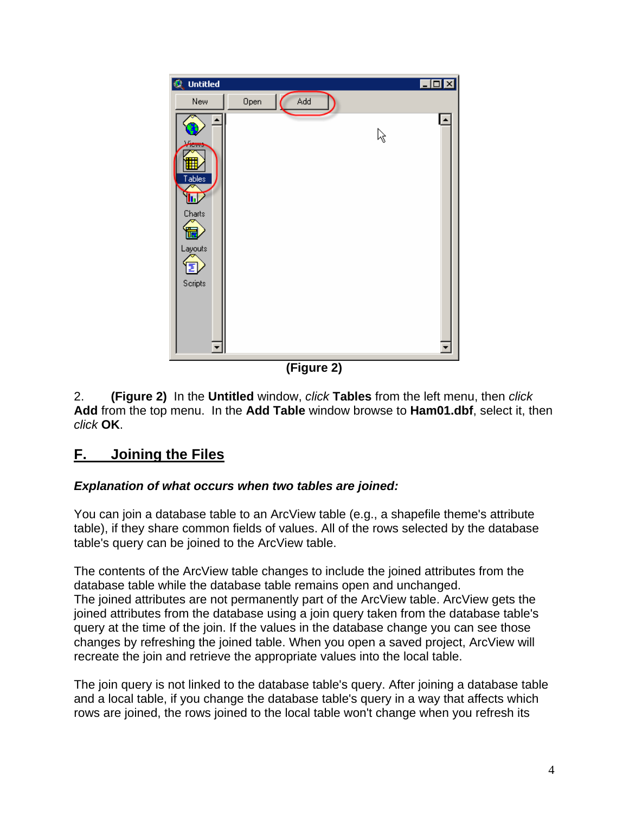

**(Figure 2)** 

2. **(Figure 2)** In the **Untitled** window, *click* **Tables** from the left menu, then *click* **Add** from the top menu. In the **Add Table** window browse to **Ham01.dbf**, select it, then *click* **OK**.

# **F. Joining the Files**

#### *Explanation of what occurs when two tables are joined:*

You can join a database table to an ArcView table (e.g., a shapefile theme's attribute table), if they share common fields of values. All of the rows selected by the database table's query can be joined to the ArcView table.

The contents of the ArcView table changes to include the joined attributes from the database table while the database table remains open and unchanged. The joined attributes are not permanently part of the ArcView table. ArcView gets the joined attributes from the database using a join query taken from the database table's query at the time of the join. If the values in the database change you can see those changes by refreshing the joined table. When you open a saved project, ArcView will recreate the join and retrieve the appropriate values into the local table.

The join query is not linked to the database table's query. After joining a database table and a local table, if you change the database table's query in a way that affects which rows are joined, the rows joined to the local table won't change when you refresh its